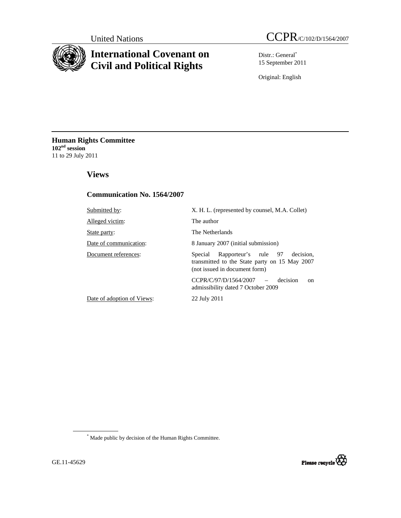

# **International Covenant on Civil and Political Rights**

Distr.: General\* 15 September 2011

Original: English

**Human Rights Committee 102nd session**  11 to 29 July 2011

# **Views**

# **Communication No. 1564/2007**

| Submitted by:              | X. H. L. (represented by counsel, M.A. Collet)                                                                              |
|----------------------------|-----------------------------------------------------------------------------------------------------------------------------|
| Alleged victim:            | The author                                                                                                                  |
| State party:               | The Netherlands                                                                                                             |
| Date of communication:     | 8 January 2007 (initial submission)                                                                                         |
| Document references:       | Rapporteur's rule 97 decision,<br>Special<br>transmitted to the State party on 15 May 2007<br>(not issued in document form) |
|                            | $CCPR/C/97/D/1564/2007$ -<br>decision<br>on<br>admissibility dated 7 October 2009                                           |
| Date of adoption of Views: | 22 July 2011                                                                                                                |
|                            |                                                                                                                             |

\* Made public by decision of the Human Rights Committee.

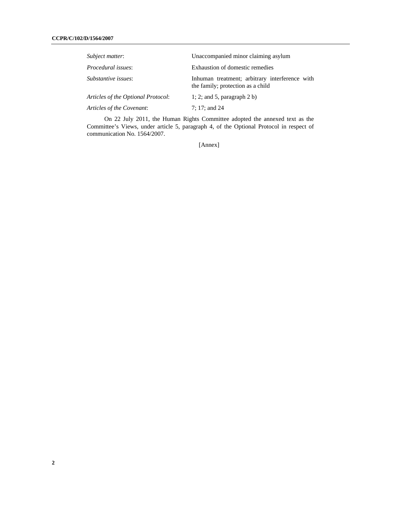| Subject matter:                    | Unaccompanied minor claiming asylum                                                 |
|------------------------------------|-------------------------------------------------------------------------------------|
| <i>Procedural issues:</i>          | Exhaustion of domestic remedies                                                     |
| Substantive issues:                | Inhuman treatment; arbitrary interference with<br>the family; protection as a child |
| Articles of the Optional Protocol: | 1; 2; and 5, paragraph $2 b$ )                                                      |
| Articles of the Covenant:          | 7: 17: and 24                                                                       |

On 22 July 2011, the Human Rights Committee adopted the annexed text as the Committee's Views, under article 5, paragraph 4, of the Optional Protocol in respect of communication No. 1564/2007.

[Annex]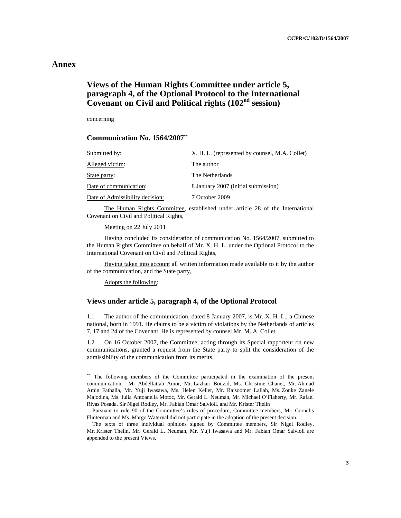# **Annex**

# **Views of the Human Rights Committee under article 5, paragraph 4, of the Optional Protocol to the International Covenant on Civil and Political rights (102nd session)**

concerning

#### **Communication No. 1564/2007\*\***

| Submitted by:                   | X. H. L. (represented by counsel, M.A. Collet) |
|---------------------------------|------------------------------------------------|
| Alleged victim:                 | The author                                     |
| State party:                    | The Netherlands                                |
| Date of communication:          | 8 January 2007 (initial submission)            |
| Date of Admissibility decision: | 7 October 2009                                 |
|                                 |                                                |

 The Human Rights Committee, established under article 28 of the International Covenant on Civil and Political Rights,

Meeting on 22 July 2011

 Having concluded its consideration of communication No. 1564/2007, submitted to the Human Rights Committee on behalf of Mr. X. H. L. under the Optional Protocol to the International Covenant on Civil and Political Rights,

 Having taken into account all written information made available to it by the author of the communication, and the State party,

Adopts the following:

### **Views under article 5, paragraph 4, of the Optional Protocol**

1.1 The author of the communication, dated 8 January 2007, is Mr. X. H. L., a Chinese national, born in 1991. He claims to be a victim of violations by the Netherlands of articles 7, 17 and 24 of the Covenant. He is represented by counsel Mr. M. A. Collet

1.2 On 16 October 2007, the Committee, acting through its Special rapporteur on new communications, granted a request from the State party to split the consideration of the admissibility of the communication from its merits.

<sup>\*\*</sup> The following members of the Committee participated in the examination of the present communication: Mr. Abdelfattah Amor, Mr. Lazhari Bouzid, Ms. Christine Chanet, Mr. Ahmad Amin Fathalla, Mr. Yuji Iwasawa, Ms. Helen Keller, Mr. Rajsoomer Lallah, Ms. Zonke Zanele Majodina, Ms. Iulia Antoanella Motoc, Mr. Gerald L. Neuman, Mr. Michael O'Flaherty, Mr. Rafael Rivas Posada, Sir Nigel Rodley, Mr. Fabian Omar Salvioli. and Mr. Krister Thelin

Pursuant to rule 90 of the Committee's rules of procedure, Committee members, Mr. Cornelis Flinterman and Ms. Margo Waterval did not participate in the adoption of the present decision.

The texts of three individual opinions signed by Committee members, Sir Nigel Rodley, Mr. Krister Thelin, Mr. Gerald L. Neuman, Mr. Yuji Iwasawa and Mr. Fabían Omar Salvioli are appended to the present Views.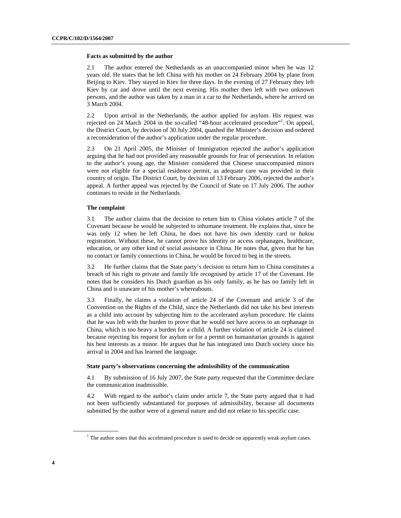#### **Facts as submitted by the author**

2.1 The author entered the Netherlands as an unaccompanied minor when he was 12 years old. He states that he left China with his mother on 24 February 2004 by plane from Beijing to Kiev. They stayed in Kiev for three days. In the evening of 27 February they left Kiev by car and drove until the next evening. His mother then left with two unknown persons, and the author was taken by a man in a car to the Netherlands, where he arrived on 3 March 2004.

2.2 Upon arrival in the Netherlands, the author applied for asylum. His request was rejected on 24 March 2004 in the so-called "48-hour accelerated procedure"<sup>1</sup>. On appeal, the District Court, by decision of 30 July 2004, quashed the Minister's decision and ordered a reconsideration of the author's application under the regular procedure.

2.3 On 21 April 2005, the Minister of Immigration rejected the author's application arguing that he had not provided any reasonable grounds for fear of persecution. In relation to the author's young age, the Minister considered that Chinese unaccompanied minors were not eligible for a special residence permit, as adequate care was provided in their country of origin. The District Court, by decision of 13 February 2006, rejected the author's appeal. A further appeal was rejected by the Council of State on 17 July 2006. The author continues to reside in the Netherlands.

#### **The complaint**

3.1 The author claims that the decision to return him to China violates article 7 of the Covenant because he would be subjected to inhumane treatment. He explains that, since he was only 12 when he left China, he does not have his own identity card or *hukou* registration. Without these, he cannot prove his identity or access orphanages, healthcare, education, or any other kind of social assistance in China. He notes that, given that he has no contact or family connections in China, he would be forced to beg in the streets.

3.2 He further claims that the State party's decision to return him to China constitutes a breach of his right to private and family life recognised by article 17 of the Covenant. He notes that he considers his Dutch guardian as his only family, as he has no family left in China and is unaware of his mother's whereabouts.

3.3 Finally, he claims a violation of article 24 of the Covenant and article 3 of the Convention on the Rights of the Child, since the Netherlands did not take his best interests as a child into account by subjecting him to the accelerated asylum procedure. He claims that he was left with the burden to prove that he would not have access to an orphanage in China, which is too heavy a burden for a child. A further violation of article 24 is claimed because rejecting his request for asylum or for a permit on humanitarian grounds is against his best interests as a minor. He argues that he has integrated into Dutch society since his arrival in 2004 and has learned the language.

#### **State party's observations concerning the admissibility of the communication**

4.1 By submission of 16 July 2007, the State party requested that the Committee declare the communication inadmissible.

4.2 With regard to the author's claim under article 7, the State party argued that it had not been sufficiently substantiated for purposes of admissibility, because all documents submitted by the author were of a general nature and did not relate to his specific case.

 $<sup>1</sup>$  The author notes that this accelerated procedure is used to decide on apparently weak asylum cases.</sup>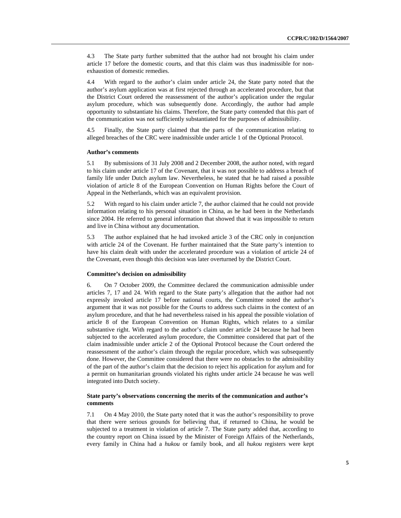4.3 The State party further submitted that the author had not brought his claim under article 17 before the domestic courts, and that this claim was thus inadmissible for nonexhaustion of domestic remedies.

4.4 With regard to the author's claim under article 24, the State party noted that the author's asylum application was at first rejected through an accelerated procedure, but that the District Court ordered the reassessment of the author's application under the regular asylum procedure, which was subsequently done. Accordingly, the author had ample opportunity to substantiate his claims. Therefore, the State party contended that this part of the communication was not sufficiently substantiated for the purposes of admissibility.

4.5 Finally, the State party claimed that the parts of the communication relating to alleged breaches of the CRC were inadmissible under article 1 of the Optional Protocol.

#### **Author's comments**

5.1 By submissions of 31 July 2008 and 2 December 2008, the author noted, with regard to his claim under article 17 of the Covenant, that it was not possible to address a breach of family life under Dutch asylum law. Nevertheless, he stated that he had raised a possible violation of article 8 of the European Convention on Human Rights before the Court of Appeal in the Netherlands, which was an equivalent provision.

5.2 With regard to his claim under article 7, the author claimed that he could not provide information relating to his personal situation in China, as he had been in the Netherlands since 2004. He referred to general information that showed that it was impossible to return and live in China without any documentation.

5.3 The author explained that he had invoked article 3 of the CRC only in conjunction with article 24 of the Covenant. He further maintained that the State party's intention to have his claim dealt with under the accelerated procedure was a violation of article 24 of the Covenant, even though this decision was later overturned by the District Court.

#### **Committee's decision on admissibility**

6. On 7 October 2009, the Committee declared the communication admissible under articles 7, 17 and 24. With regard to the State party's allegation that the author had not expressly invoked article 17 before national courts, the Committee noted the author's argument that it was not possible for the Courts to address such claims in the context of an asylum procedure, and that he had nevertheless raised in his appeal the possible violation of article 8 of the European Convention on Human Rights, which relates to a similar substantive right. With regard to the author's claim under article 24 because he had been subjected to the accelerated asylum procedure, the Committee considered that part of the claim inadmissible under article 2 of the Optional Protocol because the Court ordered the reassessment of the author's claim through the regular procedure, which was subsequently done. However, the Committee considered that there were no obstacles to the admissibility of the part of the author's claim that the decision to reject his application for asylum and for a permit on humanitarian grounds violated his rights under article 24 because he was well integrated into Dutch society.

#### **State party's observations concerning the merits of the communication and author's comments**

7.1 On 4 May 2010, the State party noted that it was the author's responsibility to prove that there were serious grounds for believing that, if returned to China, he would be subjected to a treatment in violation of article 7. The State party added that, according to the country report on China issued by the Minister of Foreign Affairs of the Netherlands, every family in China had a *hukou* or family book, and all *hukou* registers were kept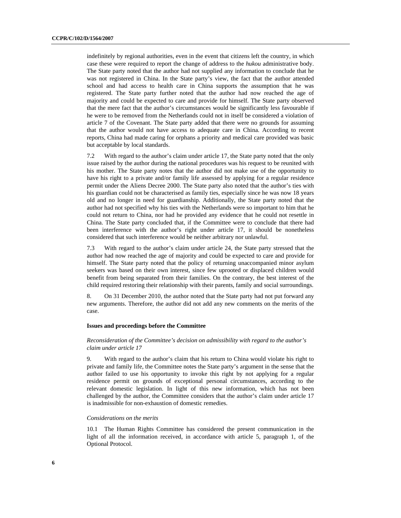indefinitely by regional authorities, even in the event that citizens left the country, in which case these were required to report the change of address to the *hukou* administrative body. The State party noted that the author had not supplied any information to conclude that he was not registered in China. In the State party's view, the fact that the author attended school and had access to health care in China supports the assumption that he was registered. The State party further noted that the author had now reached the age of majority and could be expected to care and provide for himself. The State party observed that the mere fact that the author's circumstances would be significantly less favourable if he were to be removed from the Netherlands could not in itself be considered a violation of article 7 of the Covenant. The State party added that there were no grounds for assuming that the author would not have access to adequate care in China. According to recent reports, China had made caring for orphans a priority and medical care provided was basic but acceptable by local standards.

7.2 With regard to the author's claim under article 17, the State party noted that the only issue raised by the author during the national procedures was his request to be reunited with his mother. The State party notes that the author did not make use of the opportunity to have his right to a private and/or family life assessed by applying for a regular residence permit under the Aliens Decree 2000. The State party also noted that the author's ties with his guardian could not be characterised as family ties, especially since he was now 18 years old and no longer in need for guardianship. Additionally, the State party noted that the author had not specified why his ties with the Netherlands were so important to him that he could not return to China, nor had he provided any evidence that he could not resettle in China. The State party concluded that, if the Committee were to conclude that there had been interference with the author's right under article 17, it should be nonetheless considered that such interference would be neither arbitrary nor unlawful.

7.3 With regard to the author's claim under article 24, the State party stressed that the author had now reached the age of majority and could be expected to care and provide for himself. The State party noted that the policy of returning unaccompanied minor asylum seekers was based on their own interest, since few uprooted or displaced children would benefit from being separated from their families. On the contrary, the best interest of the child required restoring their relationship with their parents, family and social surroundings.

8. On 31 December 2010, the author noted that the State party had not put forward any new arguments. Therefore, the author did not add any new comments on the merits of the case.

#### **Issues and proceedings before the Committee**

#### *Reconsideration of the Committee's decision on admissibility with regard to the author's claim under article 17*

9. With regard to the author's claim that his return to China would violate his right to private and family life, the Committee notes the State party's argument in the sense that the author failed to use his opportunity to invoke this right by not applying for a regular residence permit on grounds of exceptional personal circumstances, according to the relevant domestic legislation. In light of this new information, which has not been challenged by the author, the Committee considers that the author's claim under article 17 is inadmissible for non-exhaustion of domestic remedies.

#### *Considerations on the merits*

10.1 The Human Rights Committee has considered the present communication in the light of all the information received, in accordance with article 5, paragraph 1, of the Optional Protocol.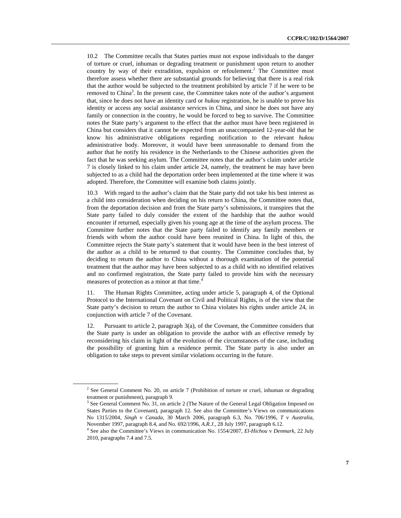10.2 The Committee recalls that States parties must not expose individuals to the danger of torture or cruel, inhuman or degrading treatment or punishment upon return to another country by way of their extradition, expulsion or refoulement.<sup>2</sup> The Committee must therefore assess whether there are substantial grounds for believing that there is a real risk that the author would be subjected to the treatment prohibited by article 7 if he were to be removed to China<sup>3</sup>. In the present case, the Committee takes note of the author's argument that, since he does not have an identity card or *hukou* registration, he is unable to prove his identity or access any social assistance services in China, and since he does not have any family or connection in the country, he would be forced to beg to survive. The Committee notes the State party's argument to the effect that the author must have been registered in China but considers that it cannot be expected from an unaccompanied 12-year-old that he know his administrative obligations regarding notification to the relevant *hukou* administrative body. Moreover, it would have been unreasonable to demand from the author that he notify his residence in the Netherlands to the Chinese authorities given the fact that he was seeking asylum. The Committee notes that the author's claim under article 7 is closely linked to his claim under article 24, namely, the treatment he may have been subjected to as a child had the deportation order been implemented at the time where it was adopted. Therefore, the Committee will examine both claims jointly.

10.3 With regard to the author's claim that the State party did not take his best interest as a child into consideration when deciding on his return to China, the Committee notes that, from the deportation decision and from the State party's submissions, it transpires that the State party failed to duly consider the extent of the hardship that the author would encounter if returned, especially given his young age at the time of the asylum process. The Committee further notes that the State party failed to identify any family members or friends with whom the author could have been reunited in China. In light of this, the Committee rejects the State party's statement that it would have been in the best interest of the author as a child to be returned to that country. The Committee concludes that, by deciding to return the author to China without a thorough examination of the potential treatment that the author may have been subjected to as a child with no identified relatives and no confirmed registration, the State party failed to provide him with the necessary measures of protection as a minor at that time.<sup>4</sup>

11. The Human Rights Committee, acting under article 5, paragraph 4, of the Optional Protocol to the International Covenant on Civil and Political Rights, is of the view that the State party's decision to return the author to China violates his rights under article 24, in conjunction with article 7 of the Covenant.

12. Pursuant to article 2, paragraph 3(a), of the Covenant, the Committee considers that the State party is under an obligation to provide the author with an effective remedy by reconsidering his claim in light of the evolution of the circumstances of the case, including the possibility of granting him a residence permit. The State party is also under an obligation to take steps to prevent similar violations occurring in the future.

<sup>&</sup>lt;sup>2</sup> See General Comment No. 20, on article 7 (Prohibition of torture or cruel, inhuman or degrading treatment or punishment), paragraph 9.

<sup>&</sup>lt;sup>3</sup> See General Comment No. 31, on article 2 (The Nature of the General Legal Obligation Imposed on States Parties to the Covenant), paragraph 12. See also the Committee's Views on communications No 1315/2004, *Singh* v *Canada*, 30 March 2006, paragraph 6.3, No. 706/1996, *T* v *Australia*, November 1997, paragraph 8.4, and No. 692/1996, *A.R.J.,* 28 July 1997, paragraph 6.12. 4

See also the Committee's Views in communication No. 1554/2007, *El-Hichou* v *Denmark*, 22 July 2010, paragraphs 7.4 and 7.5.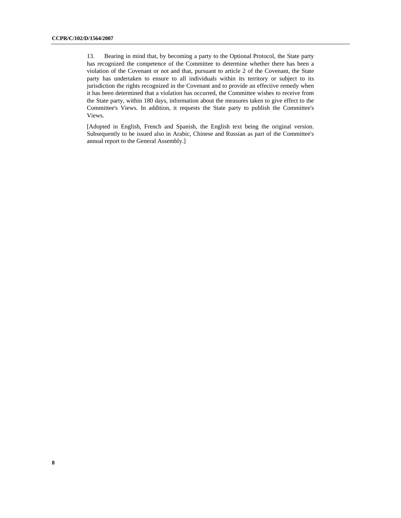13. Bearing in mind that, by becoming a party to the Optional Protocol, the State party has recognized the competence of the Committee to determine whether there has been a violation of the Covenant or not and that, pursuant to article 2 of the Covenant, the State party has undertaken to ensure to all individuals within its territory or subject to its jurisdiction the rights recognized in the Covenant and to provide an effective remedy when it has been determined that a violation has occurred, the Committee wishes to receive from the State party, within 180 days, information about the measures taken to give effect to the Committee's Views. In addition, it requests the State party to publish the Committee's Views.

[Adopted in English, French and Spanish, the English text being the original version. Subsequently to be issued also in Arabic, Chinese and Russian as part of the Committee's annual report to the General Assembly.]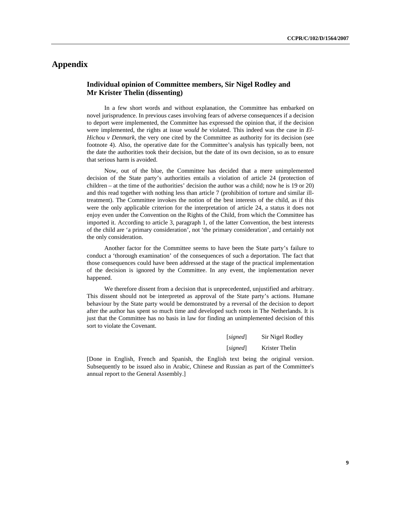# **Appendix**

## **Individual opinion of Committee members, Sir Nigel Rodley and Mr Krister Thelin (dissenting)**

In a few short words and without explanation, the Committee has embarked on novel jurisprudence. In previous cases involving fears of adverse consequences if a decision to deport were implemented, the Committee has expressed the opinion that, if the decision were implemented, the rights at issue *would be* violated. This indeed was the case in *El-Hichou v Denmark*, the very one cited by the Committee as authority for its decision (see footnote 4). Also, the operative date for the Committee's analysis has typically been, not the date the authorities took their decision, but the date of its own decision, so as to ensure that serious harm is avoided.

Now, out of the blue, the Committee has decided that a mere unimplemented decision of the State party's authorities entails a violation of article 24 (protection of children – at the time of the authorities' decision the author was a child; now he is 19 or 20) and this read together with nothing less than article 7 (prohibition of torture and similar illtreatment). The Committee invokes the notion of the best interests of the child, as if this were the only applicable criterion for the interpretation of article 24, a status it does not enjoy even under the Convention on the Rights of the Child, from which the Committee has imported it. According to article 3, paragraph 1, of the latter Convention, the best interests of the child are 'a primary consideration', not 'the primary consideration', and certainly not the only consideration.

Another factor for the Committee seems to have been the State party's failure to conduct a 'thorough examination' of the consequences of such a deportation. The fact that those consequences could have been addressed at the stage of the practical implementation of the decision is ignored by the Committee. In any event, the implementation never happened.

We therefore dissent from a decision that is unprecedented, unjustified and arbitrary. This dissent should not be interpreted as approval of the State party's actions. Humane behaviour by the State party would be demonstrated by a reversal of the decision to deport after the author has spent so much time and developed such roots in The Netherlands. It is just that the Committee has no basis in law for finding an unimplemented decision of this sort to violate the Covenant.

| [signed] | Sir Nigel Rodley |
|----------|------------------|
| [signed] | Krister Thelin   |

[Done in English, French and Spanish, the English text being the original version. Subsequently to be issued also in Arabic, Chinese and Russian as part of the Committee's annual report to the General Assembly.]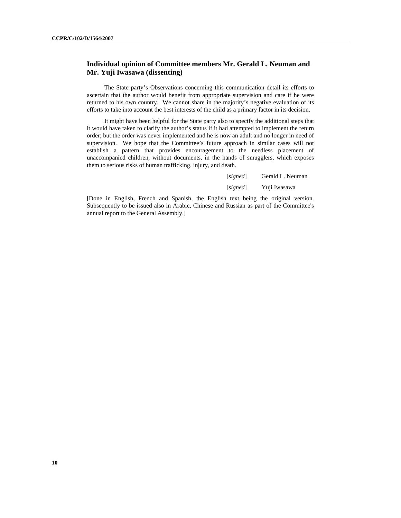### **Individual opinion of Committee members Mr. Gerald L. Neuman and Mr. Yuji Iwasawa (dissenting)**

 The State party's Observations concerning this communication detail its efforts to ascertain that the author would benefit from appropriate supervision and care if he were returned to his own country. We cannot share in the majority's negative evaluation of its efforts to take into account the best interests of the child as a primary factor in its decision.

 It might have been helpful for the State party also to specify the additional steps that it would have taken to clarify the author's status if it had attempted to implement the return order; but the order was never implemented and he is now an adult and no longer in need of supervision. We hope that the Committee's future approach in similar cases will not establish a pattern that provides encouragement to the needless placement of unaccompanied children, without documents, in the hands of smugglers, which exposes them to serious risks of human trafficking, injury, and death.

| [signed] | Gerald L. Neuman |
|----------|------------------|
| [signed] | Yuji Iwasawa     |

[Done in English, French and Spanish, the English text being the original version. Subsequently to be issued also in Arabic, Chinese and Russian as part of the Committee's annual report to the General Assembly.]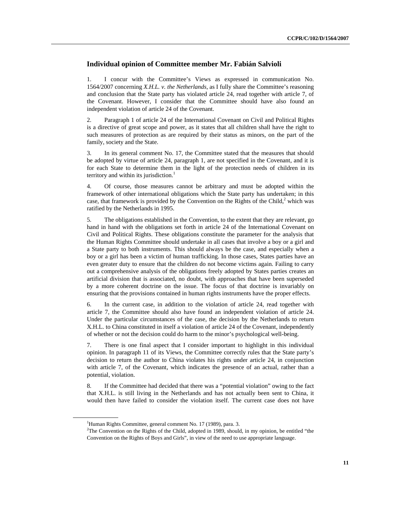### **Individual opinion of Committee member Mr. Fabián Salvioli**

1. I concur with the Committee's Views as expressed in communication No. 1564/2007 concerning *X.H.L. v. the Netherlands*, as I fully share the Committee's reasoning and conclusion that the State party has violated article 24, read together with article 7, of the Covenant. However, I consider that the Committee should have also found an independent violation of article 24 of the Covenant.

2. Paragraph 1 of article 24 of the International Covenant on Civil and Political Rights is a directive of great scope and power, as it states that all children shall have the right to such measures of protection as are required by their status as minors, on the part of the family, society and the State.

3. In its general comment No. 17, the Committee stated that the measures that should be adopted by virtue of article 24, paragraph 1, are not specified in the Covenant, and it is for each State to determine them in the light of the protection needs of children in its territory and within its jurisdiction.<sup>1</sup>

4. Of course, those measures cannot be arbitrary and must be adopted within the framework of other international obligations which the State party has undertaken; in this case, that framework is provided by the Convention on the Rights of the Child, $2$  which was ratified by the Netherlands in 1995.

5. The obligations established in the Convention, to the extent that they are relevant, go hand in hand with the obligations set forth in article 24 of the International Covenant on Civil and Political Rights. These obligations constitute the parameter for the analysis that the Human Rights Committee should undertake in all cases that involve a boy or a girl and a State party to both instruments. This should always be the case, and especially when a boy or a girl has been a victim of human trafficking. In those cases, States parties have an even greater duty to ensure that the children do not become victims again. Failing to carry out a comprehensive analysis of the obligations freely adopted by States parties creates an artificial division that is associated, no doubt, with approaches that have been superseded by a more coherent doctrine on the issue. The focus of that doctrine is invariably on ensuring that the provisions contained in human rights instruments have the proper effects.

6. In the current case, in addition to the violation of article 24, read together with article 7, the Committee should also have found an independent violation of article 24. Under the particular circumstances of the case, the decision by the Netherlands to return X.H.L. to China constituted in itself a violation of article 24 of the Covenant, independently of whether or not the decision could do harm to the minor's psychological well-being.

7. There is one final aspect that I consider important to highlight in this individual opinion. In paragraph 11 of its Views, the Committee correctly rules that the State party's decision to return the author to China violates his rights under article 24, in conjunction with article 7, of the Covenant, which indicates the presence of an actual, rather than a potential, violation.

8. If the Committee had decided that there was a "potential violation" owing to the fact that X.H.L. is still living in the Netherlands and has not actually been sent to China, it would then have failed to consider the violation itself. The current case does not have

<sup>&</sup>lt;sup>1</sup>Human Rights Committee, general comment No. 17 (1989), para. 3.

<sup>&</sup>lt;sup>2</sup>The Convention on the Rights of the Child, adopted in 1989, should, in my opinion, be entitled "the Convention on the Rights of Boys and Girls", in view of the need to use appropriate language.